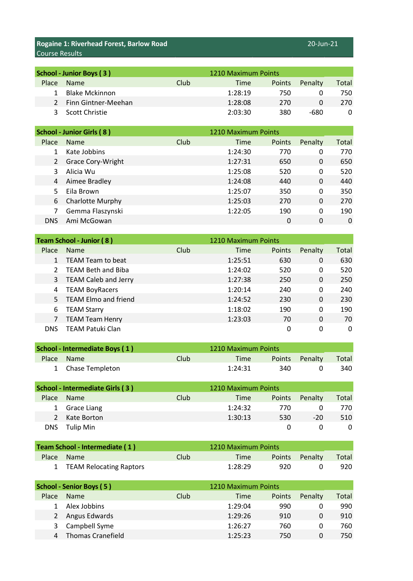**Rogaine 1: Riverhead Forest, Barlow Road** 20-Jun-21 20-Jun-21 Course Results

| School - Junior Boys (3) |                       |      | 1210 Maximum Points |               |         |       |
|--------------------------|-----------------------|------|---------------------|---------------|---------|-------|
| Place                    | <b>Name</b>           | Club | Time                | <b>Points</b> | Penalty | Total |
|                          | <b>Blake Mckinnon</b> |      | 1:28:19             | 750           |         | 750   |
|                          | 2 Finn Gintner-Meehan |      | 1:28:08             | 270           |         | 270   |
| 3                        | Scott Christie        |      | 2:03:30             | 380           | -680    |       |

|            | <b>School - Junior Girls (8)</b> |      | 1210 Maximum Points |        |          |       |
|------------|----------------------------------|------|---------------------|--------|----------|-------|
| Place      | <b>Name</b>                      | Club | Time                | Points | Penalty  | Total |
|            | Kate Jobbins                     |      | 1:24:30             | 770    | 0        | 770   |
| 2          | <b>Grace Cory-Wright</b>         |      | 1:27:31             | 650    | 0        | 650   |
| 3          | Alicia Wu                        |      | 1:25:08             | 520    | 0        | 520   |
| 4          | Aimee Bradley                    |      | 1:24:08             | 440    | $\Omega$ | 440   |
| .5.        | Eila Brown                       |      | 1:25:07             | 350    | 0        | 350   |
| 6          | <b>Charlotte Murphy</b>          |      | 1:25:03             | 270    | 0        | 270   |
|            | Gemma Flaszynski                 |      | 1:22:05             | 190    | 0        | 190   |
| <b>DNS</b> | Ami McGowan                      |      |                     | 0      | 0        | 0     |

|            | <b>Team School - Junior (8)</b> |      | 1210 Maximum Points |        |         |       |
|------------|---------------------------------|------|---------------------|--------|---------|-------|
| Place      | <b>Name</b>                     | Club | Time                | Points | Penalty | Total |
|            | TEAM Team to beat               |      | 1:25:51             | 630    | 0       | 630   |
|            | TEAM Beth and Biba              |      | 1:24:02             | 520    | 0       | 520   |
|            | 3 TEAM Caleb and Jerry          |      | 1:27:38             | 250    | 0       | 250   |
| 4          | <b>TEAM BoyRacers</b>           |      | 1:20:14             | 240    | 0       | 240   |
| 5.         | <b>TEAM Elmo and friend</b>     |      | 1:24:52             | 230    | 0       | 230   |
| 6          | <b>TEAM Starry</b>              |      | 1:18:02             | 190    | 0       | 190   |
|            | <b>TEAM Team Henry</b>          |      | 1:23:03             | 70     | 0       | 70    |
| <b>DNS</b> | <b>TEAM Patuki Clan</b>         |      |                     | 0      | 0       | 0     |

| School - Intermediate Boys (1) |                   |      | 1210 Maximum Points |     |                |       |
|--------------------------------|-------------------|------|---------------------|-----|----------------|-------|
|                                | Place Name        | Club | Time                |     | Points Penalty | Total |
|                                | 1 Chase Templeton |      | 1:24:31             | 340 |                | 340   |

| School - Intermediate Girls (3) |               |      | 1210 Maximum Points |               |         |       |
|---------------------------------|---------------|------|---------------------|---------------|---------|-------|
| Place                           | <b>Name</b>   | Club | Time                | <b>Points</b> | Penalty | Total |
|                                 | 1 Grace Liang |      | 1:24:32             | 770           |         | 770   |
| $\mathcal{L}$                   | Kate Borton   |      | 1:30:13             | 530           | $-20$   | 510   |
| DNS.                            | Tulip Min     |      |                     |               |         |       |

| Team School - Intermediate (1) |                           |      | 1210 Maximum Points |     |                |       |
|--------------------------------|---------------------------|------|---------------------|-----|----------------|-------|
| <b>Place</b>                   | <b>Name</b>               | Club | Time                |     | Points Penalty | Total |
|                                | 1 TEAM Relocating Raptors |      | 1:28:29             | 920 |                | 920   |

| <b>School - Senior Boys (5)</b> |                          |      | 1210 Maximum Points |               |         |       |
|---------------------------------|--------------------------|------|---------------------|---------------|---------|-------|
| Place                           | <b>Name</b>              | Club | Time                | <b>Points</b> | Penalty | Total |
|                                 | Alex Jobbins             |      | 1:29:04             | 990           |         | 990   |
|                                 | Angus Edwards            |      | 1:29:26             | 910           |         | 910   |
| 3                               | Campbell Syme            |      | 1:26:27             | 760           |         | 760   |
| 4                               | <b>Thomas Cranefield</b> |      | 1:25:23             | 750           |         | 750   |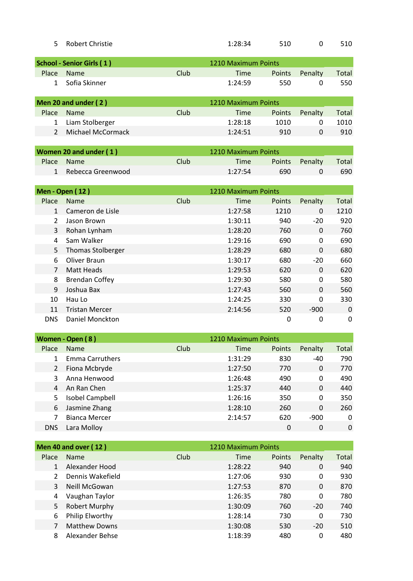| 5 Robert Christie | 1:28:34 | 510 | 510 |  |
|-------------------|---------|-----|-----|--|
|                   |         |     |     |  |

|       | <b>School - Senior Girls (1)</b> |      | 1210 Maximum Points |        |         |       |
|-------|----------------------------------|------|---------------------|--------|---------|-------|
| Place | <b>Name</b>                      | Club | Time                | Points | Penalty | Total |
|       | Sofia Skinner                    |      | 1:24:59             | 550    | 0       | 550   |
|       | Men 20 and under (2)             |      | 1210 Maximum Points |        |         |       |
|       |                                  |      |                     |        |         |       |
| Place | <b>Name</b>                      | Club | Time                | Points | Penalty | Total |
|       | Liam Stolberger                  |      | 1:28:18             | 1010   | 0       | 1010  |
|       | Michael McCormack                |      | 1:24:51             | 910    | 0       | 910   |
|       |                                  |      |                     |        |         |       |

| Women 20 and under (1) |                     |      | 1210 Maximum Points |     |                |       |
|------------------------|---------------------|------|---------------------|-----|----------------|-------|
| Place                  | <b>Name</b>         | Club | Time                |     | Points Penalty | Total |
|                        | 1 Rebecca Greenwood |      | 1:27:54             | 690 |                | 690   |

|                | <b>Men - Open (12)</b>   |      | 1210 Maximum Points |               |              |       |
|----------------|--------------------------|------|---------------------|---------------|--------------|-------|
| Place          | Name                     | Club | Time                | <b>Points</b> | Penalty      | Total |
| 1              | Cameron de Lisle         |      | 1:27:58             | 1210          | 0            | 1210  |
| $\overline{2}$ | Jason Brown              |      | 1:30:11             | 940           | $-20$        | 920   |
| 3              | Rohan Lynham             |      | 1:28:20             | 760           | $\mathbf{0}$ | 760   |
| 4              | Sam Walker               |      | 1:29:16             | 690           | 0            | 690   |
| 5              | <b>Thomas Stolberger</b> |      | 1:28:29             | 680           | $\mathbf{0}$ | 680   |
| 6              | Oliver Braun             |      | 1:30:17             | 680           | $-20$        | 660   |
|                | Matt Heads               |      | 1:29:53             | 620           | $\Omega$     | 620   |
| 8              | <b>Brendan Coffey</b>    |      | 1:29:30             | 580           | 0            | 580   |
| 9              | Joshua Bax               |      | 1:27:43             | 560           | 0            | 560   |
| 10             | Hau Lo                   |      | 1:24:25             | 330           | 0            | 330   |
| 11             | <b>Tristan Mercer</b>    |      | 2:14:56             | 520           | $-900$       | 0     |
| <b>DNS</b>     | Daniel Monckton          |      |                     | 0             | 0            | 0     |

|            | Women - Open (8)       |      | 1210 Maximum Points |        |         |       |
|------------|------------------------|------|---------------------|--------|---------|-------|
| Place      | <b>Name</b>            | Club | Time                | Points | Penalty | Total |
|            | <b>Emma Carruthers</b> |      | 1:31:29             | 830    | -40     | 790   |
| 2          | Fiona Mcbryde          |      | 1:27:50             | 770    | 0       | 770   |
|            | Anna Henwood           |      | 1:26:48             | 490    | 0       | 490   |
| 4          | An Ran Chen            |      | 1:25:37             | 440    | 0       | 440   |
| 5.         | Isobel Campbell        |      | 1:26:16             | 350    | 0       | 350   |
| 6          | Jasmine Zhang          |      | 1:28:10             | 260    | 0       | 260   |
|            | <b>Bianca Mercer</b>   |      | 2:14:57             | 620    | $-900$  | 0     |
| <b>DNS</b> | Lara Molloy            |      |                     | 0      | 0       | 0     |

|       | <b>Men 40 and over (12)</b> |             | 1210 Maximum Points |               |          |       |
|-------|-----------------------------|-------------|---------------------|---------------|----------|-------|
| Place | <b>Name</b>                 | <b>Club</b> | <b>Time</b>         | <b>Points</b> | Penalty  | Total |
| 1     | Alexander Hood              |             | 1:28:22             | 940           | 0        | 940   |
|       | Dennis Wakefield            |             | 1:27:06             | 930           | 0        | 930   |
| 3     | Neill McGowan               |             | 1:27:53             | 870           | $\Omega$ | 870   |
| 4     | Vaughan Taylor              |             | 1:26:35             | 780           | 0        | 780   |
| 5     | Robert Murphy               |             | 1:30:09             | 760           | $-20$    | 740   |
| 6     | Philip Elworthy             |             | 1:28:14             | 730           | 0        | 730   |
|       | <b>Matthew Downs</b>        |             | 1:30:08             | 530           | $-20$    | 510   |
| 8     | Alexander Behse             |             | 1:18:39             | 480           | 0        | 480   |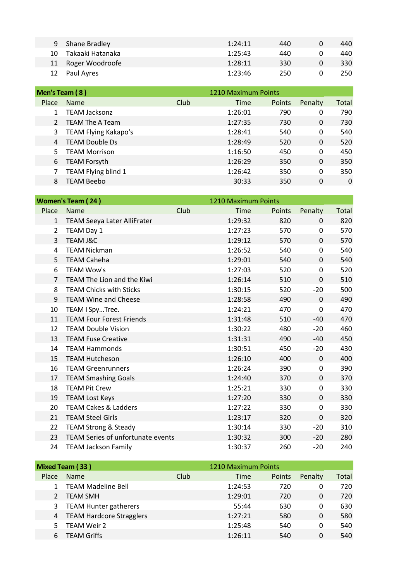| 9  | Shane Bradley      | 1:24:11 | 440 | 440 |
|----|--------------------|---------|-----|-----|
| 10 | Takaaki Hatanaka   | 1:25:43 | 440 | 440 |
|    | 11 Roger Woodroofe | 1:28:11 | 330 | 330 |
|    | 12 Paul Ayres      | 1:23:46 | 250 | 250 |

| Men's Team (8) |                        |      | 1210 Maximum Points |        |         |       |  |  |
|----------------|------------------------|------|---------------------|--------|---------|-------|--|--|
| Place          | <b>Name</b>            | Club | Time                | Points | Penalty | Total |  |  |
|                | <b>TEAM Jacksonz</b>   |      | 1:26:01             | 790    | 0       | 790   |  |  |
|                | <b>TEAM The A Team</b> |      | 1:27:35             | 730    | 0       | 730   |  |  |
| 3              | TEAM Flying Kakapo's   |      | 1:28:41             | 540    | 0       | 540   |  |  |
| 4              | <b>TEAM Double Ds</b>  |      | 1:28:49             | 520    | 0       | 520   |  |  |
| 5.             | <b>TEAM Morrison</b>   |      | 1:16:50             | 450    | 0       | 450   |  |  |
| 6              | <b>TEAM Forsyth</b>    |      | 1:26:29             | 350    | 0       | 350   |  |  |
|                | TEAM Flying blind 1    |      | 1:26:42             | 350    | 0       | 350   |  |  |
| 8              | <b>TEAM Beebo</b>      |      | 30:33               | 350    | 0       | 0     |  |  |

|                | <b>Women's Team (24)</b>                 |      | 1210 Maximum Points |        |             |       |
|----------------|------------------------------------------|------|---------------------|--------|-------------|-------|
| Place          | Name                                     | Club | Time                | Points | Penalty     | Total |
| $\mathbf{1}$   | <b>TEAM Seeya Later AlliFrater</b>       |      | 1:29:32             | 820    | $\Omega$    | 820   |
| $\overline{2}$ | TEAM Day 1                               |      | 1:27:23             | 570    | 0           | 570   |
| 3              | <b>TEAM J&amp;C</b>                      |      | 1:29:12             | 570    | 0           | 570   |
| 4              | <b>TEAM Nickman</b>                      |      | 1:26:52             | 540    | $\mathbf 0$ | 540   |
| 5              | <b>TEAM Caheha</b>                       |      | 1:29:01             | 540    | 0           | 540   |
| 6              | <b>TEAM Wow's</b>                        |      | 1:27:03             | 520    | 0           | 520   |
| $\overline{7}$ | TEAM The Lion and the Kiwi               |      | 1:26:14             | 510    | 0           | 510   |
| 8              | <b>TEAM Chicks with Sticks</b>           |      | 1:30:15             | 520    | $-20$       | 500   |
| 9              | <b>TEAM Wine and Cheese</b>              |      | 1:28:58             | 490    | $\mathbf 0$ | 490   |
| 10             | TEAM I SpyTree.                          |      | 1:24:21             | 470    | 0           | 470   |
| 11             | <b>TEAM Four Forest Friends</b>          |      | 1:31:48             | 510    | $-40$       | 470   |
| 12             | <b>TEAM Double Vision</b>                |      | 1:30:22             | 480    | $-20$       | 460   |
| 13             | <b>TEAM Fuse Creative</b>                |      | 1:31:31             | 490    | -40         | 450   |
| 14             | <b>TEAM Hammonds</b>                     |      | 1:30:51             | 450    | $-20$       | 430   |
| 15             | <b>TEAM Hutcheson</b>                    |      | 1:26:10             | 400    | $\mathbf 0$ | 400   |
| 16             | <b>TEAM Greenrunners</b>                 |      | 1:26:24             | 390    | 0           | 390   |
| 17             | <b>TEAM Smashing Goals</b>               |      | 1:24:40             | 370    | 0           | 370   |
| 18             | <b>TEAM Pit Crew</b>                     |      | 1:25:21             | 330    | 0           | 330   |
| 19             | <b>TEAM Lost Keys</b>                    |      | 1:27:20             | 330    | 0           | 330   |
| 20             | <b>TEAM Cakes &amp; Ladders</b>          |      | 1:27:22             | 330    | 0           | 330   |
| 21             | <b>TEAM Steel Girls</b>                  |      | 1:23:17             | 320    | 0           | 320   |
| 22             | <b>TEAM Strong &amp; Steady</b>          |      | 1:30:14             | 330    | $-20$       | 310   |
| 23             | <b>TEAM Series of unfortunate events</b> |      | 1:30:32             | 300    | $-20$       | 280   |
| 24             | <b>TEAM Jackson Family</b>               |      | 1:30:37             | 260    | $-20$       | 240   |

|       | Mixed Team (33)            |      | 1210 Maximum Points |        |         |       |
|-------|----------------------------|------|---------------------|--------|---------|-------|
| Place | <b>Name</b>                | Club | Time                | Points | Penalty | Total |
|       | <b>TEAM Madeline Bell</b>  |      | 1:24:53             | 720    | 0       | 720   |
|       | <b>TEAM SMH</b>            |      | 1:29:01             | 720    | 0       | 720   |
|       | 3 TEAM Hunter gatherers    |      | 55:44               | 630    | 0       | 630   |
|       | 4 TEAM Hardcore Stragglers |      | 1:27:21             | 580    | 0       | 580   |
|       | <b>TEAM Weir 2</b>         |      | 1:25:48             | 540    | 0       | 540   |
| 6     | <b>TEAM Griffs</b>         |      | 1:26:11             | 540    | 0       | 540   |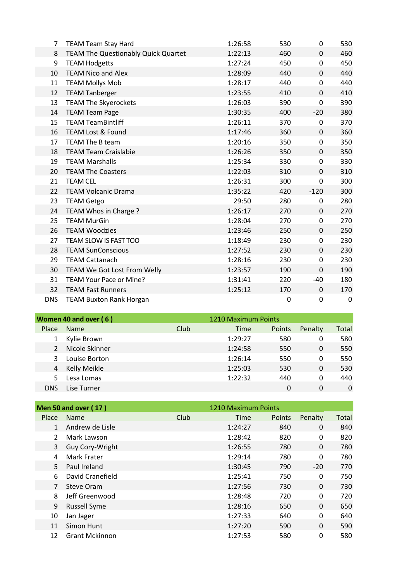| 7          | <b>TEAM Team Stay Hard</b>                 | 1:26:58 | 530         | 0           | 530 |
|------------|--------------------------------------------|---------|-------------|-------------|-----|
| 8          | <b>TEAM The Questionably Quick Quartet</b> | 1:22:13 | 460         | $\Omega$    | 460 |
| 9          | <b>TEAM Hodgetts</b>                       | 1:27:24 | 450         | 0           | 450 |
| 10         | <b>TEAM Nico and Alex</b>                  | 1:28:09 | 440         | $\mathbf 0$ | 440 |
| 11         | <b>TEAM Mollys Mob</b>                     | 1:28:17 | 440         | 0           | 440 |
| 12         | <b>TEAM Tanberger</b>                      | 1:23:55 | 410         | 0           | 410 |
| 13         | <b>TEAM The Skyerockets</b>                | 1:26:03 | 390         | 0           | 390 |
| 14         | <b>TEAM Team Page</b>                      | 1:30:35 | 400         | $-20$       | 380 |
| 15         | <b>TEAM TeamBintliff</b>                   | 1:26:11 | 370         | 0           | 370 |
| 16         | <b>TEAM Lost &amp; Found</b>               | 1:17:46 | 360         | 0           | 360 |
| 17         | TEAM The B team                            | 1:20:16 | 350         | 0           | 350 |
| 18         | <b>TEAM Team Craislabie</b>                | 1:26:26 | 350         | $\mathbf 0$ | 350 |
| 19         | <b>TEAM Marshalls</b>                      | 1:25:34 | 330         | 0           | 330 |
| 20         | <b>TEAM The Coasters</b>                   | 1:22:03 | 310         | $\Omega$    | 310 |
| 21         | <b>TEAM CEL</b>                            | 1:26:31 | 300         | 0           | 300 |
| 22         | <b>TEAM Volcanic Drama</b>                 | 1:35:22 | 420         | $-120$      | 300 |
| 23         | <b>TEAM Getgo</b>                          | 29:50   | 280         | 0           | 280 |
| 24         | TEAM Whos in Charge?                       | 1:26:17 | 270         | $\Omega$    | 270 |
| 25         | <b>TEAM MurGin</b>                         | 1:28:04 | 270         | $\pmb{0}$   | 270 |
| 26         | <b>TEAM Woodzies</b>                       | 1:23:46 | 250         | $\mathbf 0$ | 250 |
| 27         | TEAM SLOW IS FAST TOO                      | 1:18:49 | 230         | 0           | 230 |
| 28         | <b>TEAM SunConscious</b>                   | 1:27:52 | 230         | $\Omega$    | 230 |
| 29         | <b>TEAM Cattanach</b>                      | 1:28:16 | 230         | $\mathbf 0$ | 230 |
| 30         | TEAM We Got Lost From Welly                | 1:23:57 | 190         | $\mathbf 0$ | 190 |
| 31         | TEAM Your Pace or Mine?                    | 1:31:41 | 220         | $-40$       | 180 |
| 32         | <b>TEAM Fast Runners</b>                   | 1:25:12 | 170         | 0           | 170 |
| <b>DNS</b> | <b>TEAM Buxton Rank Horgan</b>             |         | $\mathbf 0$ | 0           | 0   |

|            | Women 40 and over (6) |      | 1210 Maximum Points |        |                |       |
|------------|-----------------------|------|---------------------|--------|----------------|-------|
| Place      | <b>Name</b>           | Club | Time                | Points | Penalty        | Total |
| 1          | Kylie Brown           |      | 1:29:27             | 580    | 0              | 580   |
|            | Nicole Skinner        |      | 1:24:58             | 550    | $\overline{0}$ | 550   |
| 3          | Louise Borton         |      | 1:26:14             | 550    | 0              | 550   |
| 4          | Kelly Meikle          |      | 1:25:03             | 530    | 0              | 530   |
| 5.         | Lesa Lomas            |      | 1:22:32             | 440    | $\Omega$       | 440   |
| <b>DNS</b> | Lise Turner           |      |                     | 0      | 0              | 0     |

|                | <b>Men 50 and over (17)</b> |      | 1210 Maximum Points |        |          |       |
|----------------|-----------------------------|------|---------------------|--------|----------|-------|
| Place          | <b>Name</b>                 | Club | Time                | Points | Penalty  | Total |
| 1              | Andrew de Lisle             |      | 1:24:27             | 840    | 0        | 840   |
| 2              | Mark Lawson                 |      | 1:28:42             | 820    | 0        | 820   |
| 3              | Guy Cory-Wright             |      | 1:26:55             | 780    | 0        | 780   |
| 4              | Mark Frater                 |      | 1:29:14             | 780    | 0        | 780   |
| 5              | Paul Ireland                |      | 1:30:45             | 790    | $-20$    | 770   |
| 6              | David Cranefield            |      | 1:25:41             | 750    | 0        | 750   |
| $\overline{7}$ | Steve Oram                  |      | 1:27:56             | 730    | 0        | 730   |
| 8              | Jeff Greenwood              |      | 1:28:48             | 720    | 0        | 720   |
| 9              | <b>Russell Syme</b>         |      | 1:28:16             | 650    | $\Omega$ | 650   |
| 10             | Jan Jager                   |      | 1:27:33             | 640    | 0        | 640   |
| 11             | Simon Hunt                  |      | 1:27:20             | 590    | $\Omega$ | 590   |
| 12             | <b>Grant Mckinnon</b>       |      | 1:27:53             | 580    | 0        | 580   |